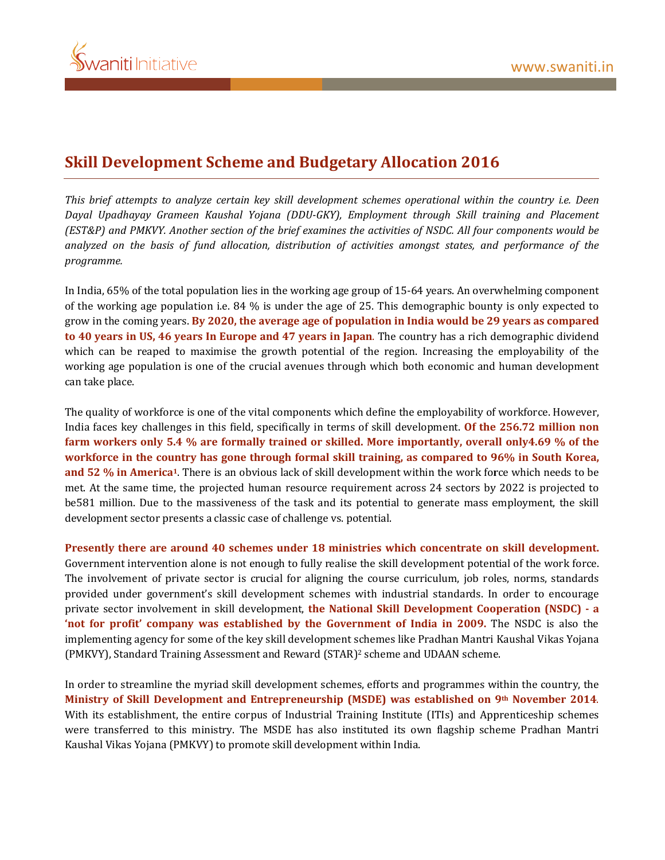

# **Skill Development Scheme and Budgetary Allocation 2016**

*This brief attempts to analyze certain key skill development schemes operational within the country i.e. Deen*  This brief attempts to analyze certain key skill development schemes operational within the country i.e. Deen<br>Dayal Upadhayay Grameen Kaushal Yojana (DDU-GKY), Employment through Skill training and Placement<br>(EST&P) and PM *(EST&P) and PMKVY. Another section of the brief examines the activities of NSDC. All four components would be*  (EST&P) and PMKVY. Another section of the brief examines the activities of NSDC. All four components would be<br>analyzed on the basis of fund allocation, distribution of activities amongst states, and performanc *programme.*

In India, 65% of the total population lies in the working age group of 15-64 years. An overwhelming component<br>of the working age population i.e. 84 % is under the age of 25. This demographic bounty is only expected to of the working age population i.e. 84 % is under the age of 2 25. This demographic bounty is only expected to grow in the coming years. By 2020, the average age of population in India would be 29 years as compared **to 40 years in US, 46 years In Europe and 47 years in Japan. The country has a rich demographic dividend** which can be reaped to maximise the growth potential of the region. Increasing the employability of the working age population is one of the crucial avenues through which both economic and human development can take place. working age population is one of the crucial avenues through which both economic and human development<br>can take place.<br>The quality of workforce is one of the vital components which define the employability of workforce. Ho

The quality of workforce is one of the vital components which define the employability of workforce. However,<br>India faces key challenges in this field, specifically in terms of skill development. **Of the 256.72 million non** India faces key challenges in this field, specifically in terms of skill development. **Of the 256.72 million non**<br>**farm workers only 5.4 % are formally trained or skilled. More importantly, overall only4.69 % of the** workforce in the country has gone through formal skill training, as compared to 96% in South Korea, **and 52 % in America<sup>1</sup>**. There is an obvious lack of skill development within the work force which needs to be met. At the same time, the projected human resource requirement across 24 sectors by 2022 is projected to met. At the same time, the projected human resource requirement across 24 sectors by 2022 is projected to<br>be581 million. Due to the massiveness of the task and its potential to generate mass employment, the skill development sector presents a classic case of challenge vs. potential.

**Presently there are around 40 schemes under 18 ministries which concentrate on skill development development.** Government intervention alone is not enough to fully realise the skill development potential of the work force. The involvement of private sector is crucial for aligning the course curriculum, job roles, norms, standards provided under government's skill development schemes with industrial standards. In order to encourage private sector involvement in skill development, **the National Skill Development Cooperation Skill (NSDC) - a 'not for profit' company was established by the Government of India in 2009. The NSDC is also the** implementing agency for some of the key skill development schemes like Pradhan Mantri Kaushal Vikas Yojana (PMKVY), Standard Training Assessment and Reward (STAR)<sup>2</sup> scheme and UDAAN scheme.

In order to streamline the myriad skill development schemes, efforts and programmes within the country, the **Ministry of Skill Development and Entrepreneurship (MSDE) was established on 9 9th November 2014**. With its establishment, the entire corpus of Industrial Training Institute (ITIs) and Apprenticeship schemes With its establishment, the entire corpus of Industrial Training Institute (ITIs) and Apprenticeship schemes<br>were transferred to this ministry. The MSDE has also instituted its own flagship scheme Pradhan Mantri Kaushal Vikas Yojana (PMKVY) to promote skill development within India.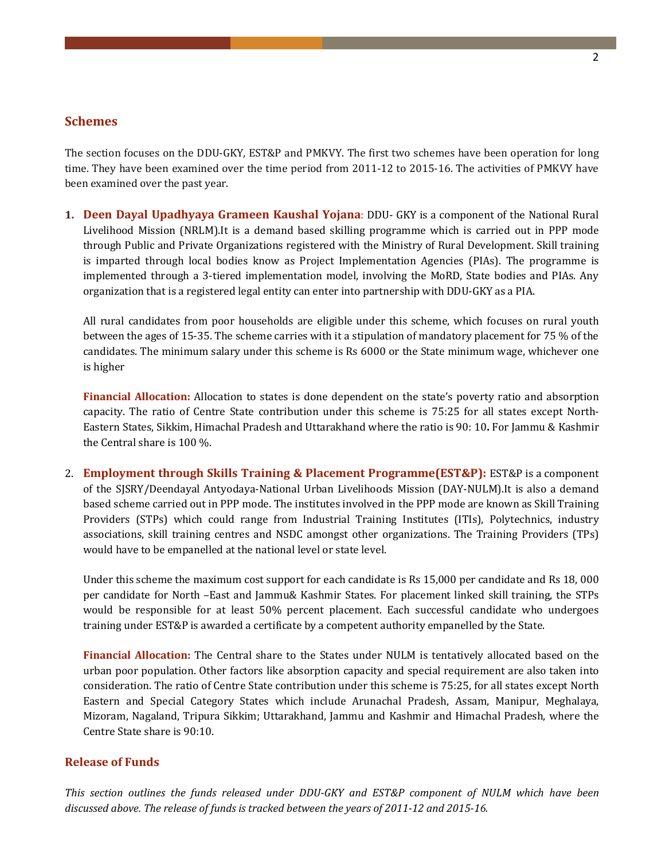# **Schemes**

The section focuses on the DDU-GKY, EST&P and PMKVY. The first two schemes have been operation for long time. They have been examined over the time period from 2011-12 to 2015-16. The activities of PMKVY have been examined over the past year.

**1. Deen Dayal Upadhyaya Grameen Kaushal Yojana**: DDU- GKY is a component of the National Rural Livelihood Mission (NRLM).It is a demand based skilling programme which is carried out in PPP mode through Public and Private Organizations registered with the Ministry of Rural Development. Skill training is imparted through local bodies know as Project Implementation Agencies (PIAs). The programme is implemented through a 3-tiered implementation model, involving the MoRD, State bodies and PIAs. Any organization that is a registered legal entity can enter into partnership with DDU-GKY as a PIA.

All rural candidates from poor households are eligible under this scheme, which focuses on rural youth between the ages of 15-35. The scheme carries with it a stipulation of mandatory placement for 75 % of the candidates. The minimum salary under this scheme is Rs 6000 or the State minimum wage, whichever one is higher

**Financial Allocation:** Allocation to states is done dependent on the state's poverty ratio and absorption capacity. The ratio of Centre State contribution under this scheme is 75:25 for all states except North-Eastern States, Sikkim, Himachal Pradesh and Uttarakhand where the ratio is 90: 10**.** For Jammu & Kashmir the Central share is 100 %.

2. **Employment through Skills Training & Placement Programme(EST&P):** EST&P is a component of the SJSRY/Deendayal Antyodaya-National Urban Livelihoods Mission (DAY-NULM).It is also a demand based scheme carried out in PPP mode. The institutes involved in the PPP mode are known as Skill Training Providers (STPs) which could range from Industrial Training Institutes (ITIs), Polytechnics, industry associations, skill training centres and NSDC amongst other organizations. The Training Providers (TPs) would have to be empanelled at the national level or state level.

Under this scheme the maximum cost support for each candidate is Rs 15,000 per candidate and Rs 18, 000 per candidate for North –East and Jammu& Kashmir States. For placement linked skill training, the STPs would be responsible for at least 50% percent placement. Each successful candidate who undergoes training under EST&P is awarded a certificate by a competent authority empanelled by the State.

**Financial Allocation:** The Central share to the States under NULM is tentatively allocated based on the urban poor population. Other factors like absorption capacity and special requirement are also taken into consideration. The ratio of Centre State contribution under this scheme is 75:25, for all states except North Eastern and Special Category States which include Arunachal Pradesh, Assam, Manipur, Meghalaya, Mizoram, Nagaland, Tripura Sikkim; Uttarakhand, Jammu and Kashmir and Himachal Pradesh, where the Centre State share is 90:10.

### **Release of Funds**

*This section outlines the funds released under DDU-GKY and EST&P component of NULM which have been discussed above. The release of funds is tracked between the years of 2011-12 and 2015-16.*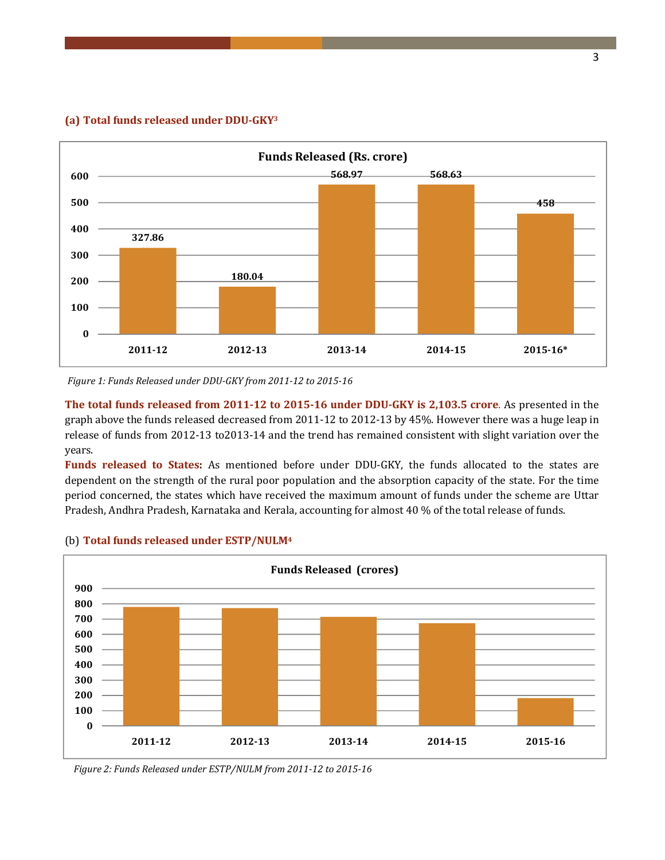

#### **(a) Total funds released under DDU-GKY3**

*Figure 1: Funds Released under DDU-GKY from 2011-12 to 2015-16*

**The total funds released from 2011-12 to 2015-16 under DDU-GKY is 2,103.5 crore**. As presented in the graph above the funds released decreased from 2011-12 to 2012-13 by 45%. However there was a huge leap in release of funds from 2012-13 to2013-14 and the trend has remained consistent with slight variation over the years.

**Funds released to States:** As mentioned before under DDU-GKY, the funds allocated to the states are dependent on the strength of the rural poor population and the absorption capacity of the state. For the time period concerned, the states which have received the maximum amount of funds under the scheme are Uttar Pradesh, Andhra Pradesh, Karnataka and Kerala, accounting for almost 40 % of the total release of funds.



#### (b) **Total funds released under ESTP/NULM4**

*Figure 2: Funds Released under ESTP/NULM from 2011-12 to 2015-16*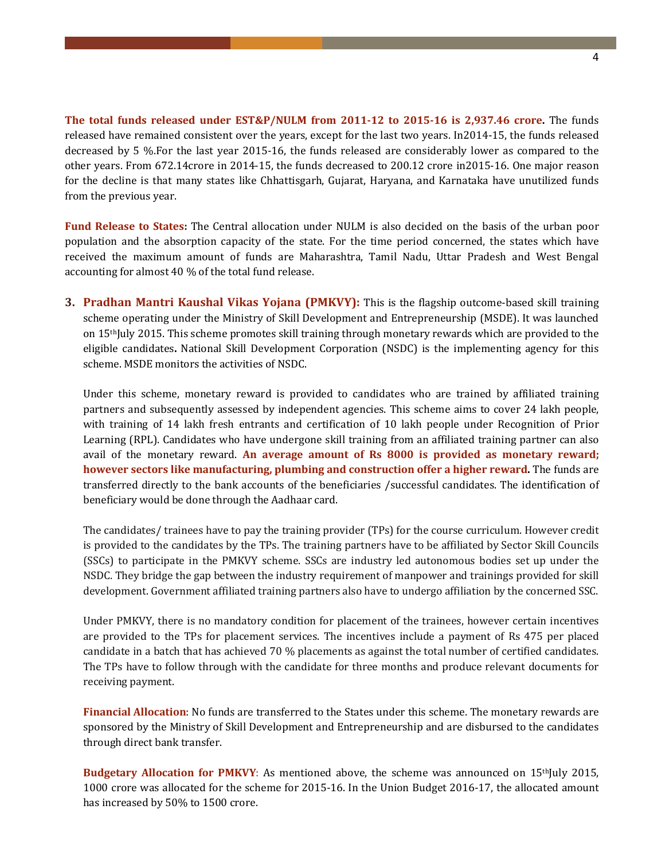**The total funds released under EST&P/NULM from 2011-12 to 2015-16 is 2,937.46 crore.** The funds released have remained consistent over the years, except for the last two years. In2014-15, the funds released decreased by 5 %.For the last year 2015-16, the funds released are considerably lower as compared to the other years. From 672.14crore in 2014-15, the funds decreased to 200.12 crore in2015-16. One major reason for the decline is that many states like Chhattisgarh, Gujarat, Haryana, and Karnataka have unutilized funds from the previous year.

**Fund Release to States:** The Central allocation under NULM is also decided on the basis of the urban poor population and the absorption capacity of the state. For the time period concerned, the states which have received the maximum amount of funds are Maharashtra, Tamil Nadu, Uttar Pradesh and West Bengal accounting for almost 40 % of the total fund release.

**3. Pradhan Mantri Kaushal Vikas Yojana (PMKVY):** This is the flagship outcome-based skill training scheme operating under the Ministry of Skill Development and Entrepreneurship (MSDE). It was launched on 15thJuly 2015. This scheme promotes skill training through monetary rewards which are provided to the eligible candidates**.** National Skill Development Corporation (NSDC) is the implementing agency for this scheme. MSDE monitors the activities of NSDC.

Under this scheme, monetary reward is provided to candidates who are trained by affiliated training partners and subsequently assessed by independent agencies. This scheme aims to cover 24 lakh people, with training of 14 lakh fresh entrants and certification of 10 lakh people under Recognition of Prior Learning (RPL). Candidates who have undergone skill training from an affiliated training partner can also avail of the monetary reward. **An average amount of Rs 8000 is provided as monetary reward; however sectors like manufacturing, plumbing and construction offer a higher reward.** The funds are transferred directly to the bank accounts of the beneficiaries /successful candidates. The identification of beneficiary would be done through the Aadhaar card.

The candidates/ trainees have to pay the training provider (TPs) for the course curriculum. However credit is provided to the candidates by the TPs. The training partners have to be affiliated by Sector Skill Councils (SSCs) to participate in the PMKVY scheme. SSCs are industry led autonomous bodies set up under the NSDC. They bridge the gap between the industry requirement of manpower and trainings provided for skill development. Government affiliated training partners also have to undergo affiliation by the concerned SSC.

Under PMKVY, there is no mandatory condition for placement of the trainees, however certain incentives are provided to the TPs for placement services. The incentives include a payment of Rs 475 per placed candidate in a batch that has achieved 70 % placements as against the total number of certified candidates. The TPs have to follow through with the candidate for three months and produce relevant documents for receiving payment.

**Financial Allocation**: No funds are transferred to the States under this scheme. The monetary rewards are sponsored by the Ministry of Skill Development and Entrepreneurship and are disbursed to the candidates through direct bank transfer.

**Budgetary Allocation for PMKVY:** As mentioned above, the scheme was announced on 15<sup>th</sup>July 2015, 1000 crore was allocated for the scheme for 2015-16. In the Union Budget 2016-17, the allocated amount has increased by 50% to 1500 crore.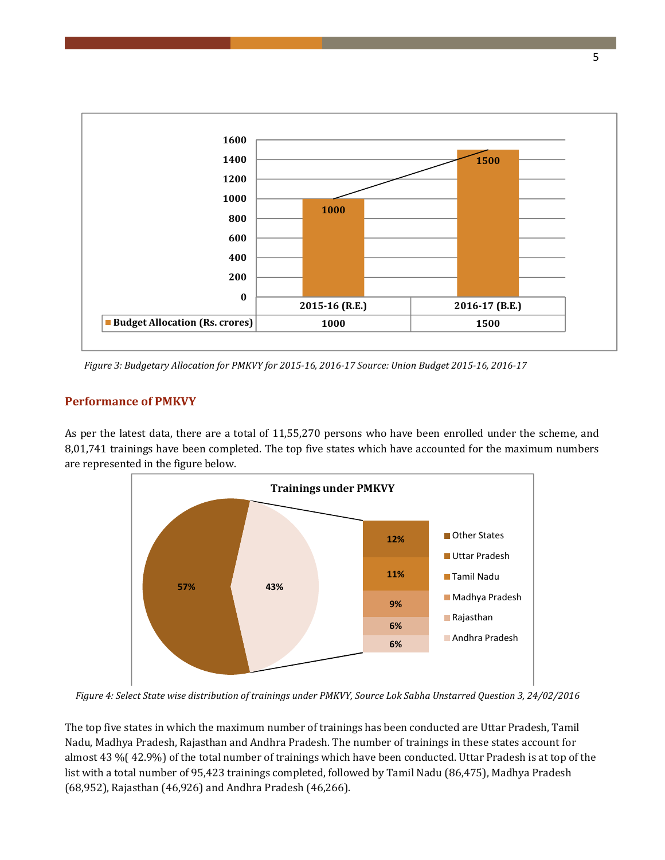

*Figure 3: Budgetary Allocation for PMKVY for 2015-16, 2016-17 Source: Union Budget 2015-16, 2016-17*

### **Performance of PMKVY**

As per the latest data, there are a total of 11,55,270 persons who have been enrolled under the scheme, and 8,01,741 trainings have been completed. The top five states which have accounted for the maximum numbers are represented in the figure below.



*Figure 4: Select State wise distribution of trainings under PMKVY, Source Lok Sabha Unstarred Question 3, 24/02/2016*

The top five states in which the maximum number of trainings has been conducted are Uttar Pradesh, Tamil Nadu, Madhya Pradesh, Rajasthan and Andhra Pradesh. The number of trainings in these states account for almost 43 %( 42.9%) of the total number of trainings which have been conducted. Uttar Pradesh is at top of the list with a total number of 95,423 trainings completed, followed by Tamil Nadu (86,475), Madhya Pradesh (68,952), Rajasthan (46,926) and Andhra Pradesh (46,266).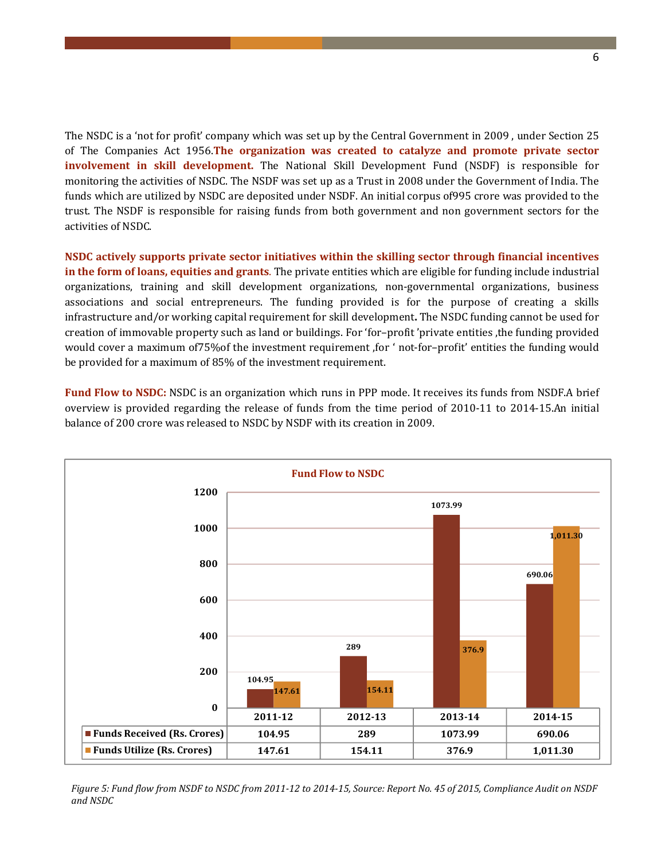The NSDC is a 'not for profit' company which was set up by the Central Government in 2009 , under Section 25 of The Companies Act 1956.**The organization was created to catalyze and promote private sector involvement in skill development.** The National Skill Development Fund (NSDF) is responsible for monitoring the activities of NSDC. The NSDF was set up as a Trust in 2008 under the Government of India. The funds which are utilized by NSDC are deposited under NSDF. An initial corpus of995 crore was provided to the trust. The NSDF is responsible for raising funds from both government and non government sectors for the activities of NSDC.

**NSDC actively supports private sector initiatives within the skilling sector through financial incentives in the form of loans, equities and grants**. The private entities which are eligible for funding include industrial organizations, training and skill development organizations, non-governmental organizations, business associations and social entrepreneurs. The funding provided is for the purpose of creating a skills infrastructure and/or working capital requirement for skill development**.** The NSDC funding cannot be used for creation of immovable property such as land or buildings. For 'for–profit 'private entities ,the funding provided would cover a maximum of75%of the investment requirement ,for ' not-for–profit' entities the funding would be provided for a maximum of 85% of the investment requirement.

**Fund Flow to NSDC:** NSDC is an organization which runs in PPP mode. It receives its funds from NSDF.A brief overview is provided regarding the release of funds from the time period of 2010-11 to 2014-15.An initial balance of 200 crore was released to NSDC by NSDF with its creation in 2009.



*Figure 5: Fund flow from NSDF to NSDC from 2011-12 to 2014-15, Source: Report No. 45 of 2015, Compliance Audit on NSDF and NSDC*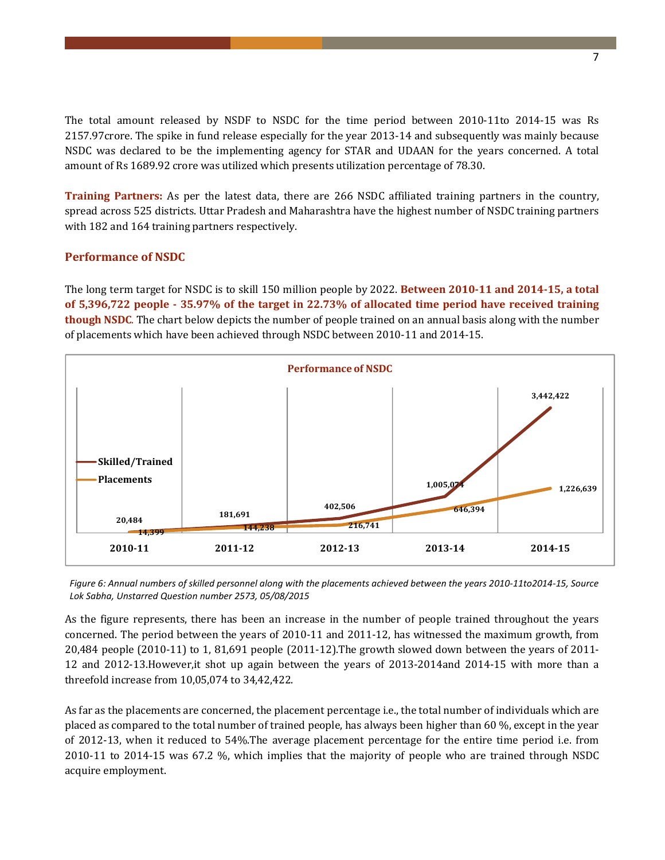The total amount released by NSDF to NSDC for the time period between 2010-11to 2014-15 was Rs 2157.97crore. The spike in fund release especially for the year 2013-14 and subsequently was mainly because NSDC was declared to be the implementing agency for STAR and UDAAN for the years concerned. A total amount of Rs 1689.92 crore was utilized which presents utilization percentage of 78.30.

**Training Partners:** As per the latest data, there are 266 NSDC affiliated training partners in the country, spread across 525 districts. Uttar Pradesh and Maharashtra have the highest number of NSDC training partners with 182 and 164 training partners respectively.

## **Performance of NSDC**

The long term target for NSDC is to skill 150 million people by 2022. **Between 2010-11 and 2014-15, a total of 5,396,722 people - 35.97% of the target in 22.73% of allocated time period have received training though NSDC**. The chart below depicts the number of people trained on an annual basis along with the number of placements which have been achieved through NSDC between 2010-11 and 2014-15.



*Figure 6: Annual numbers of skilled personnel along with the placements achieved between the years 2010-11to2014-15, Source Lok Sabha, Unstarred Question number 2573, 05/08/2015*

As the figure represents, there has been an increase in the number of people trained throughout the years concerned. The period between the years of 2010-11 and 2011-12, has witnessed the maximum growth, from 20,484 people (2010-11) to 1, 81,691 people (2011-12).The growth slowed down between the years of 2011- 12 and 2012-13.However,it shot up again between the years of 2013-2014and 2014-15 with more than a threefold increase from 10,05,074 to 34,42,422.

As far as the placements are concerned, the placement percentage i.e., the total number of individuals which are placed as compared to the total number of trained people, has always been higher than 60 %, except in the year of 2012-13, when it reduced to 54%.The average placement percentage for the entire time period i.e. from 2010-11 to 2014-15 was 67.2 %, which implies that the majority of people who are trained through NSDC acquire employment.